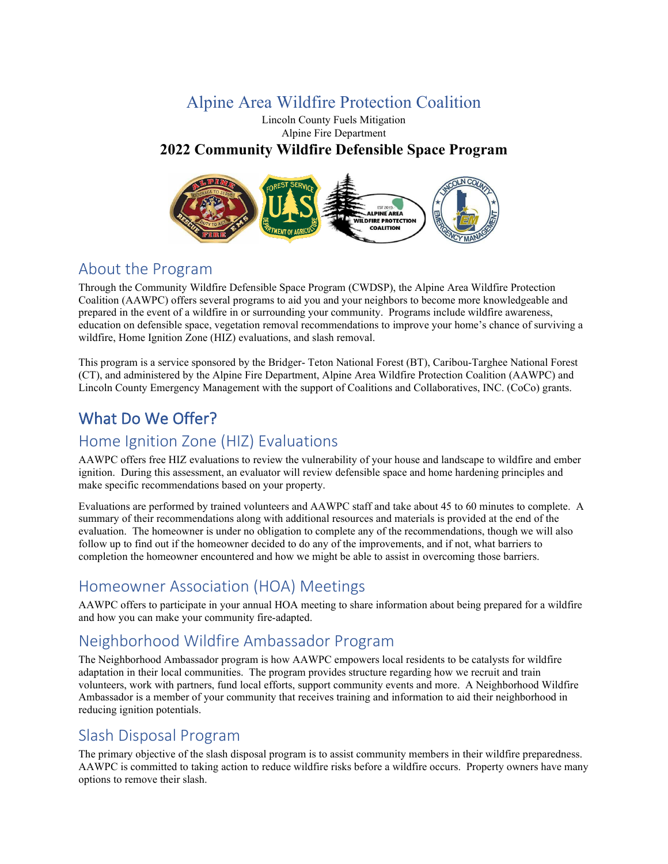# Alpine Area Wildfire Protection Coalition

#### Lincoln County Fuels Mitigation Alpine Fire Department **2022 Community Wildfire Defensible Space Program**



# About the Program

Through the Community Wildfire Defensible Space Program (CWDSP), the Alpine Area Wildfire Protection Coalition (AAWPC) offers several programs to aid you and your neighbors to become more knowledgeable and prepared in the event of a wildfire in or surrounding your community. Programs include wildfire awareness, education on defensible space, vegetation removal recommendations to improve your home's chance of surviving a wildfire, Home Ignition Zone (HIZ) evaluations, and slash removal.

This program is a service sponsored by the Bridger- Teton National Forest (BT), Caribou-Targhee National Forest (CT), and administered by the Alpine Fire Department, Alpine Area Wildfire Protection Coalition (AAWPC) and Lincoln County Emergency Management with the support of Coalitions and Collaboratives, INC. (CoCo) grants.

# What Do We Offer?

# Home Ignition Zone (HIZ) Evaluations

AAWPC offers free HIZ evaluations to review the vulnerability of your house and landscape to wildfire and ember ignition. During this assessment, an evaluator will review defensible space and home hardening principles and make specific recommendations based on your property.

Evaluations are performed by trained volunteers and AAWPC staff and take about 45 to 60 minutes to complete. A summary of their recommendations along with additional resources and materials is provided at the end of the evaluation. The homeowner is under no obligation to complete any of the recommendations, though we will also follow up to find out if the homeowner decided to do any of the improvements, and if not, what barriers to completion the homeowner encountered and how we might be able to assist in overcoming those barriers.

# Homeowner Association (HOA) Meetings

AAWPC offers to participate in your annual HOA meeting to share information about being prepared for a wildfire and how you can make your community fire-adapted.

# Neighborhood Wildfire Ambassador Program

The Neighborhood Ambassador program is how AAWPC empowers local residents to be catalysts for wildfire adaptation in their local communities. The program provides structure regarding how we recruit and train volunteers, work with partners, fund local efforts, support community events and more. A Neighborhood Wildfire Ambassador is a member of your community that receives training and information to aid their neighborhood in reducing ignition potentials.

### Slash Disposal Program

The primary objective of the slash disposal program is to assist community members in their wildfire preparedness. AAWPC is committed to taking action to reduce wildfire risks before a wildfire occurs. Property owners have many options to remove their slash.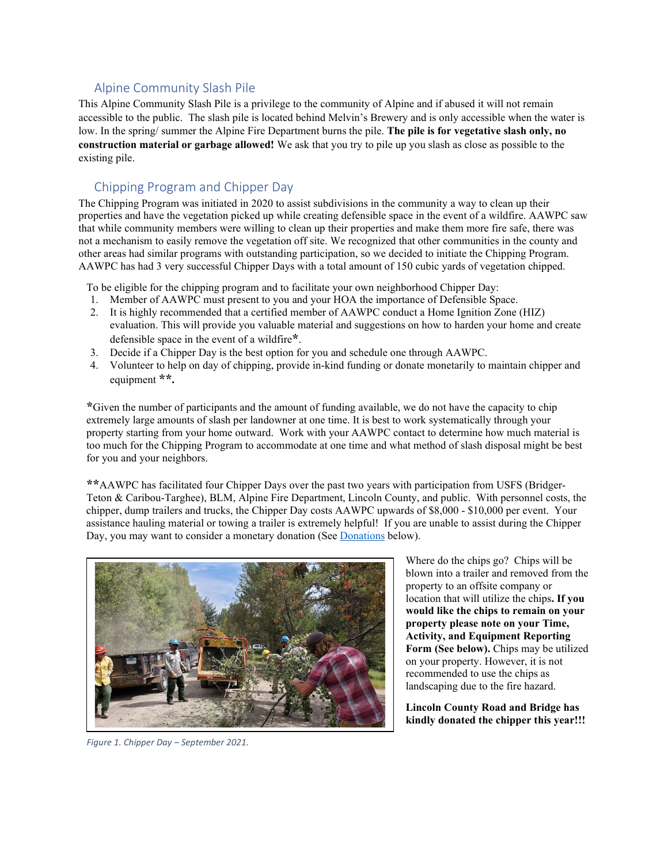#### Alpine Community Slash Pile

This Alpine Community Slash Pile is a privilege to the community of Alpine and if abused it will not remain accessible to the public. The slash pile is located behind Melvin's Brewery and is only accessible when the water is low. In the spring/ summer the Alpine Fire Department burns the pile. **The pile is for vegetative slash only, no construction material or garbage allowed!** We ask that you try to pile up you slash as close as possible to the existing pile.

#### Chipping Program and Chipper Day

The Chipping Program was initiated in 2020 to assist subdivisions in the community a way to clean up their properties and have the vegetation picked up while creating defensible space in the event of a wildfire. AAWPC saw that while community members were willing to clean up their properties and make them more fire safe, there was not a mechanism to easily remove the vegetation off site. We recognized that other communities in the county and other areas had similar programs with outstanding participation, so we decided to initiate the Chipping Program. AAWPC has had 3 very successful Chipper Days with a total amount of 150 cubic yards of vegetation chipped.

To be eligible for the chipping program and to facilitate your own neighborhood Chipper Day:

- 1. Member of AAWPC must present to you and your HOA the importance of Defensible Space.
- 2. It is highly recommended that a certified member of AAWPC conduct a Home Ignition Zone (HIZ) evaluation. This will provide you valuable material and suggestions on how to harden your home and create defensible space in the event of a wildfire**\***.
- 3. Decide if a Chipper Day is the best option for you and schedule one through AAWPC.
- 4. Volunteer to help on day of chipping, provide in-kind funding or donate monetarily to maintain chipper and equipment **\*\*.**

**\***Given the number of participants and the amount of funding available, we do not have the capacity to chip extremely large amounts of slash per landowner at one time. It is best to work systematically through your property starting from your home outward. Work with your AAWPC contact to determine how much material is too much for the Chipping Program to accommodate at one time and what method of slash disposal might be best for you and your neighbors.

**\*\***AAWPC has facilitated four Chipper Days over the past two years with participation from USFS (Bridger-Teton & Caribou-Targhee), BLM, Alpine Fire Department, Lincoln County, and public. With personnel costs, the chipper, dump trailers and trucks, the Chipper Day costs AAWPC upwards of \$8,000 - \$10,000 per event. Your assistance hauling material or towing a trailer is extremely helpful! If you are unable to assist during the Chipper Day, you may want to consider a monetary donation (Se[e Donations](#page-2-0) below).



Where do the chips go? Chips will be blown into a trailer and removed from the property to an offsite company or location that will utilize the chips**. If you would like the chips to remain on your property please note on your Time, Activity, and Equipment Reporting Form (See below).** Chips may be utilized on your property. However, it is not recommended to use the chips as landscaping due to the fire hazard.

**Lincoln County Road and Bridge has kindly donated the chipper this year!!!**

*Figure 1. Chipper Day – September 2021.*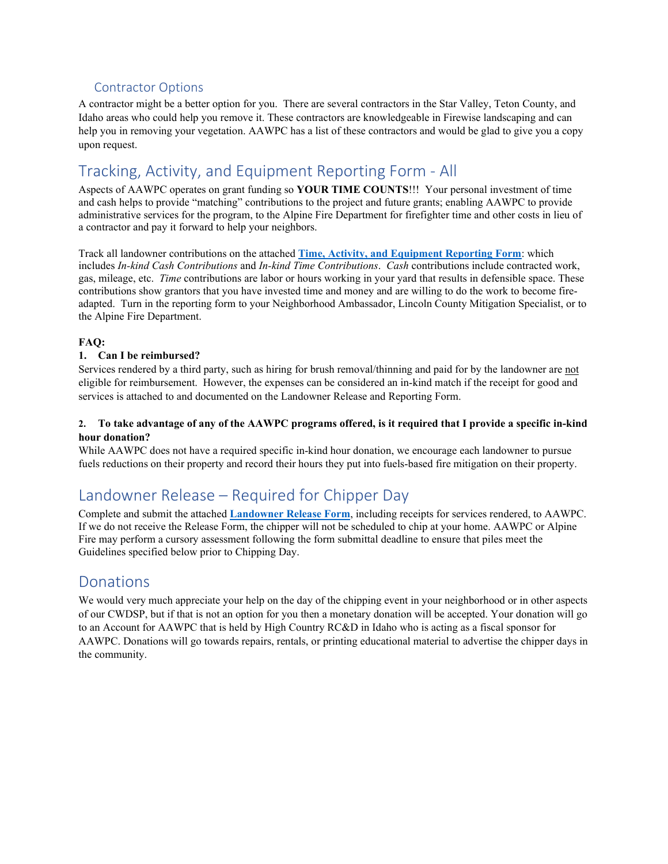### Contractor Options

A contractor might be a better option for you. There are several contractors in the Star Valley, Teton County, and Idaho areas who could help you remove it. These contractors are knowledgeable in Firewise landscaping and can help you in removing your vegetation. AAWPC has a list of these contractors and would be glad to give you a copy upon request.

# Tracking, Activity, and Equipment Reporting Form - All

Aspects of AAWPC operates on grant funding so **YOUR TIME COUNTS**!!! Your personal investment of time and cash helps to provide "matching" contributions to the project and future grants; enabling AAWPC to provide administrative services for the program, to the Alpine Fire Department for firefighter time and other costs in lieu of a contractor and pay it forward to help your neighbors.

Track all landowner contributions on the attached **[Time, Activity, and Equipment Reporting Form](#page-6-0)**: which includes *In-kind Cash Contributions* and *In-kind Time Contributions*. *Cash* contributions include contracted work, gas, mileage, etc. *Time* contributions are labor or hours working in your yard that results in defensible space. These contributions show grantors that you have invested time and money and are willing to do the work to become fireadapted. Turn in the reporting form to your Neighborhood Ambassador, Lincoln County Mitigation Specialist, or to the Alpine Fire Department.

#### **FAQ:**

#### **1. Can I be reimbursed?**

Services rendered by a third party, such as hiring for brush removal/thinning and paid for by the landowner are not eligible for reimbursement. However, the expenses can be considered an in-kind match if the receipt for good and services is attached to and documented on the Landowner Release and Reporting Form.

#### **2. To take advantage of any of the AAWPC programs offered, is it required that I provide a specific in-kind hour donation?**

While AAWPC does not have a required specific in-kind hour donation, we encourage each landowner to pursue fuels reductions on their property and record their hours they put into fuels-based fire mitigation on their property.

# Landowner Release – Required for Chipper Day

Complete and submit the attached **[Landowner Release Form](#page-5-0)**, including receipts for services rendered, to AAWPC. If we do not receive the Release Form, the chipper will not be scheduled to chip at your home. AAWPC or Alpine Fire may perform a cursory assessment following the form submittal deadline to ensure that piles meet the Guidelines specified below prior to Chipping Day.

### <span id="page-2-0"></span>Donations

We would very much appreciate your help on the day of the chipping event in your neighborhood or in other aspects of our CWDSP, but if that is not an option for you then a monetary donation will be accepted. Your donation will go to an Account for AAWPC that is held by High Country RC&D in Idaho who is acting as a fiscal sponsor for AAWPC. Donations will go towards repairs, rentals, or printing educational material to advertise the chipper days in the community.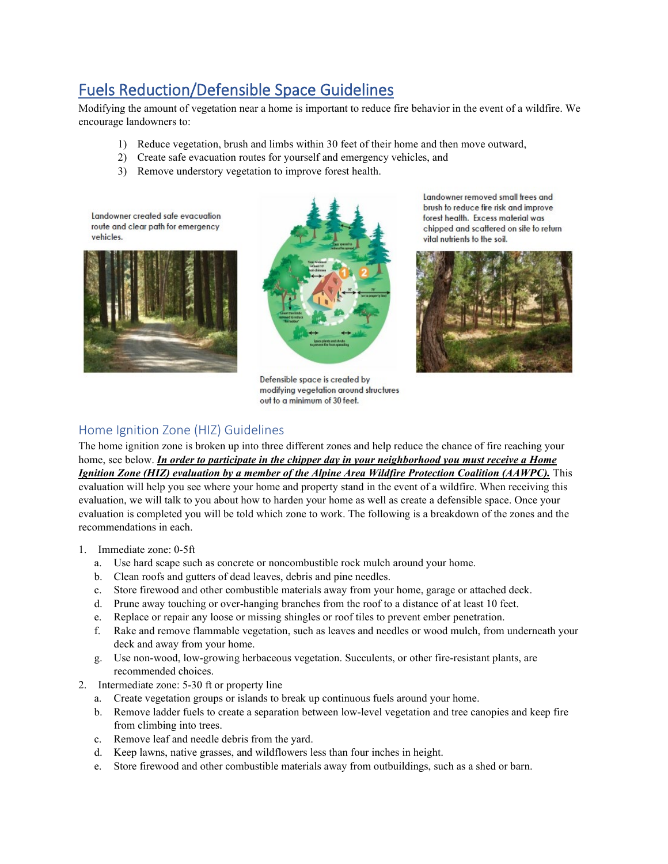# Fuels Reduction/Defensible Space Guidelines

Modifying the amount of vegetation near a home is important to reduce fire behavior in the event of a wildfire. We encourage landowners to:

- 1) Reduce vegetation, brush and limbs within 30 feet of their home and then move outward,
- 2) Create safe evacuation routes for yourself and emergency vehicles, and
- 3) Remove understory vegetation to improve forest health.

Landowner created safe evacuation route and clear path for emergency vehicles.





Defensible space is created by modifying vegetation around structures out to a minimum of 30 feet.

Landowner removed small frees and brush to reduce fire risk and improve forest health. Excess material was chipped and scattered on site to return vital nutrients to the soil.



### Home Ignition Zone (HIZ) Guidelines

The home ignition zone is broken up into three different zones and help reduce the chance of fire reaching your home, see below. *In order to participate in the chipper day in your neighborhood you must receive a Home Ignition Zone (HIZ) evaluation by a member of the Alpine Area Wildfire Protection Coalition (AAWPC).* This evaluation will help you see where your home and property stand in the event of a wildfire. When receiving this evaluation, we will talk to you about how to harden your home as well as create a defensible space. Once your evaluation is completed you will be told which zone to work. The following is a breakdown of the zones and the recommendations in each.

- 1. Immediate zone: 0-5ft
	- a. Use hard scape such as concrete or noncombustible rock mulch around your home.
	- b. Clean roofs and gutters of dead leaves, debris and pine needles.
	- c. Store firewood and other combustible materials away from your home, garage or attached deck.
	- d. Prune away touching or over-hanging branches from the roof to a distance of at least 10 feet.
	- e. Replace or repair any loose or missing shingles or roof tiles to prevent ember penetration.
	- f. Rake and remove flammable vegetation, such as leaves and needles or wood mulch, from underneath your deck and away from your home.
	- g. Use non-wood, low-growing herbaceous vegetation. Succulents, or other fire-resistant plants, are recommended choices.
- 2. Intermediate zone: 5-30 ft or property line
	- a. Create vegetation groups or islands to break up continuous fuels around your home.
	- b. Remove ladder fuels to create a separation between low-level vegetation and tree canopies and keep fire from climbing into trees.
	- c. Remove leaf and needle debris from the yard.
	- d. Keep lawns, native grasses, and wildflowers less than four inches in height.
	- e. Store firewood and other combustible materials away from outbuildings, such as a shed or barn.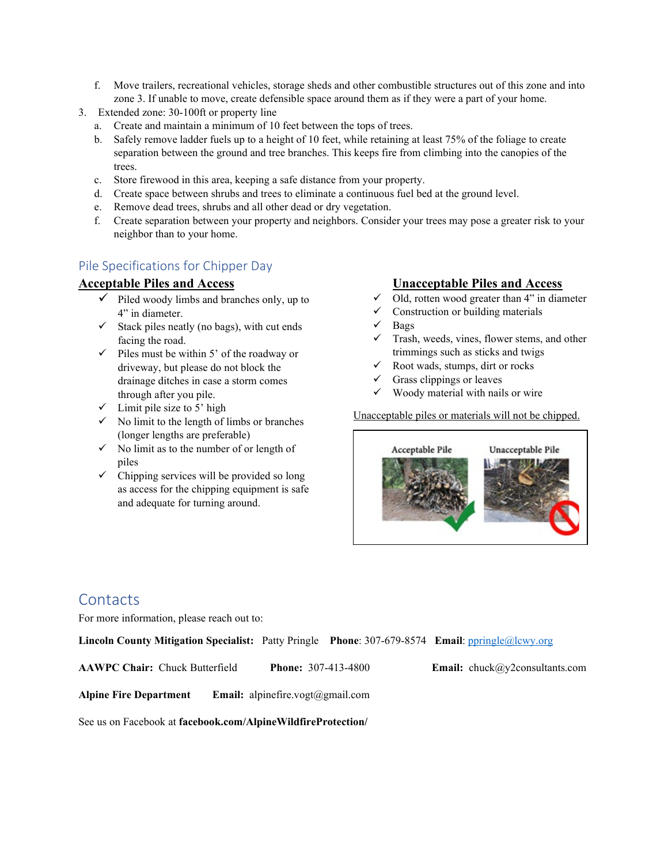- f. Move trailers, recreational vehicles, storage sheds and other combustible structures out of this zone and into zone 3. If unable to move, create defensible space around them as if they were a part of your home.
- 3. Extended zone: 30-100ft or property line
	- a. Create and maintain a minimum of 10 feet between the tops of trees.
	- b. Safely remove ladder fuels up to a height of 10 feet, while retaining at least 75% of the foliage to create separation between the ground and tree branches. This keeps fire from climbing into the canopies of the trees.
	- c. Store firewood in this area, keeping a safe distance from your property.
	- d. Create space between shrubs and trees to eliminate a continuous fuel bed at the ground level.
	- e. Remove dead trees, shrubs and all other dead or dry vegetation.
	- f. Create separation between your property and neighbors. Consider your trees may pose a greater risk to your neighbor than to your home.

### Pile Specifications for Chipper Day

#### **Acceptable Piles and Access**

- $\checkmark$  Piled woody limbs and branches only, up to 4" in diameter.
- $\checkmark$  Stack piles neatly (no bags), with cut ends facing the road.
- $\checkmark$  Piles must be within 5' of the roadway or driveway, but please do not block the drainage ditches in case a storm comes through after you pile.
- $\checkmark$  Limit pile size to 5' high
- $\checkmark$  No limit to the length of limbs or branches (longer lengths are preferable)
- $\checkmark$  No limit as to the number of or length of piles
- $\checkmark$  Chipping services will be provided so long as access for the chipping equipment is safe and adequate for turning around.

### **Unacceptable Piles and Access**

- $\checkmark$  Old, rotten wood greater than 4" in diameter
- $\checkmark$  Construction or building materials
- Bags
- Trash, weeds, vines, flower stems, and other trimmings such as sticks and twigs
- Root wads, stumps, dirt or rocks
- $\checkmark$  Grass clippings or leaves
- $\checkmark$  Woody material with nails or wire

Unacceptable piles or materials will not be chipped.



### **Contacts**

For more information, please reach out to:

**Lincoln County Mitigation Specialist:** Patty Pringle **Phone**: 307-679-8574 **Email**: [ppringle@lcwy.org](mailto:ppringle@lcwy.org)

**AAWPC Chair:** Chuck Butterfield **Phone:** 307-413-4800 **Email:** chuck@y2consultants.com

**Alpine Fire Department Email:** alpinefire.vogt@gmail.com

See us on Facebook at **facebook.com/AlpineWildfireProtection/**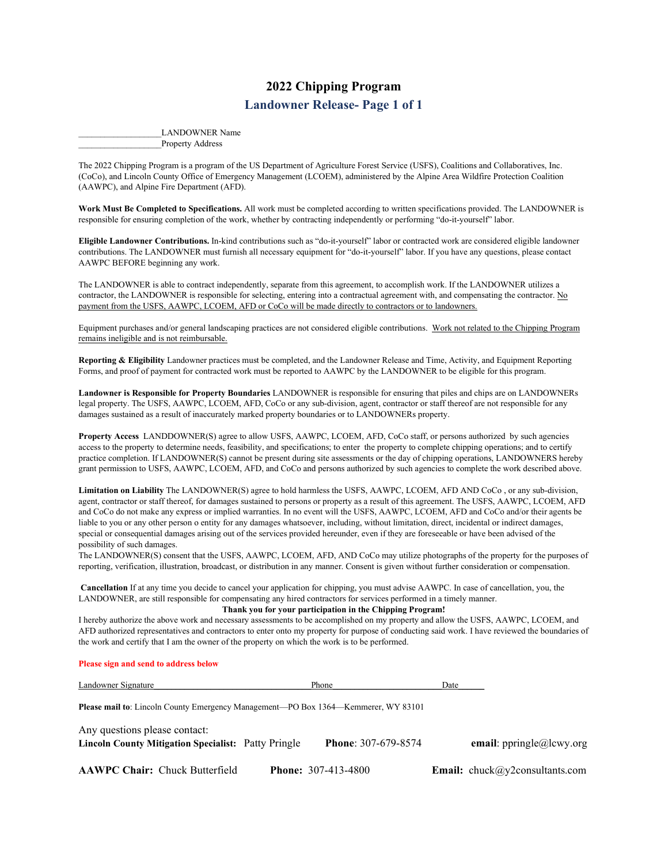### **2022 Chipping Program Landowner Release- Page 1 of 1**

LANDOWNER Name Property Address

<span id="page-5-0"></span>The 2022 Chipping Program is a program of the US Department of Agriculture Forest Service (USFS), Coalitions and Collaboratives, Inc. (CoCo), and Lincoln County Office of Emergency Management (LCOEM), administered by the Alpine Area Wildfire Protection Coalition (AAWPC), and Alpine Fire Department (AFD).

**Work Must Be Completed to Specifications.** All work must be completed according to written specifications provided. The LANDOWNER is responsible for ensuring completion of the work, whether by contracting independently or performing "do-it-yourself" labor.

**Eligible Landowner Contributions.** In-kind contributions such as "do-it-yourself" labor or contracted work are considered eligible landowner contributions. The LANDOWNER must furnish all necessary equipment for "do-it-yourself" labor. If you have any questions, please contact AAWPC BEFORE beginning any work.

The LANDOWNER is able to contract independently, separate from this agreement, to accomplish work. If the LANDOWNER utilizes a contractor, the LANDOWNER is responsible for selecting, entering into a contractual agreement with, and compensating the contractor. No payment from the USFS, AAWPC, LCOEM, AFD or CoCo will be made directly to contractors or to landowners.

Equipment purchases and/or general landscaping practices are not considered eligible contributions. Work not related to the Chipping Program remains ineligible and is not reimbursable.

**Reporting & Eligibility** Landowner practices must be completed, and the Landowner Release and Time, Activity, and Equipment Reporting Forms, and proof of payment for contracted work must be reported to AAWPC by the LANDOWNER to be eligible for this program.

**Landowner is Responsible for Property Boundaries** LANDOWNER is responsible for ensuring that piles and chips are on LANDOWNERs legal property. The USFS, AAWPC, LCOEM, AFD, CoCo or any sub-division, agent, contractor or staff thereof are not responsible for any damages sustained as a result of inaccurately marked property boundaries or to LANDOWNERs property.

**Property Access** LANDDOWNER(S) agree to allow USFS, AAWPC, LCOEM, AFD, CoCo staff, or persons authorized by such agencies access to the property to determine needs, feasibility, and specifications; to enter the property to complete chipping operations; and to certify practice completion. If LANDOWNER(S) cannot be present during site assessments or the day of chipping operations, LANDOWNERS hereby grant permission to USFS, AAWPC, LCOEM, AFD, and CoCo and persons authorized by such agencies to complete the work described above.

**Limitation on Liability** The LANDOWNER(S) agree to hold harmless the USFS, AAWPC, LCOEM, AFD AND CoCo , or any sub-division, agent, contractor or staff thereof, for damages sustained to persons or property as a result of this agreement. The USFS, AAWPC, LCOEM, AFD and CoCo do not make any express or implied warranties. In no event will the USFS, AAWPC, LCOEM, AFD and CoCo and/or their agents be liable to you or any other person o entity for any damages whatsoever, including, without limitation, direct, incidental or indirect damages, special or consequential damages arising out of the services provided hereunder, even if they are foreseeable or have been advised of the possibility of such damages.

The LANDOWNER(S) consent that the USFS, AAWPC, LCOEM, AFD, AND CoCo may utilize photographs of the property for the purposes of reporting, verification, illustration, broadcast, or distribution in any manner. Consent is given without further consideration or compensation.

**Cancellation** If at any time you decide to cancel your application for chipping, you must advise AAWPC. In case of cancellation, you, the LANDOWNER, are still responsible for compensating any hired contractors for services performed in a timely manner.

#### **Thank you for your participation in the Chipping Program!**

I hereby authorize the above work and necessary assessments to be accomplished on my property and allow the USFS, AAWPC, LCOEM, and AFD authorized representatives and contractors to enter onto my property for purpose of conducting said work. I have reviewed the boundaries of the work and certify that I am the owner of the property on which the work is to be performed.

#### **Please sign and send to address below**

| Landowner Signature                                                                         | Phone                      | Date |                                       |
|---------------------------------------------------------------------------------------------|----------------------------|------|---------------------------------------|
| <b>Please mail to:</b> Lincoln County Emergency Management—PO Box 1364—Kemmerer, WY 83101   |                            |      |                                       |
| Any questions please contact:<br><b>Lincoln County Mitigation Specialist: Patty Pringle</b> | <b>Phone: 307-679-8574</b> |      | email: ppringle@lcwy.org              |
| <b>AAWPC Chair: Chuck Butterfield</b>                                                       | <b>Phone: 307-413-4800</b> |      | <b>Email:</b> chuck@y2consultants.com |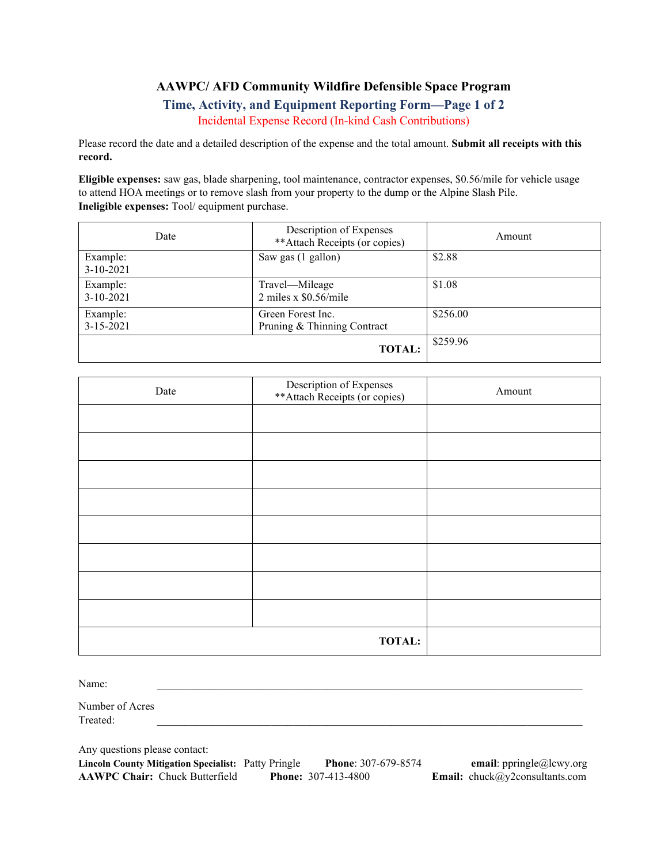### **AAWPC/ AFD Community Wildfire Defensible Space Program**

### **Time, Activity, and Equipment Reporting Form—Page 1 of 2** Incidental Expense Record (In-kind Cash Contributions)

<span id="page-6-0"></span>Please record the date and a detailed description of the expense and the total amount. **Submit all receipts with this record.**

**Eligible expenses:** saw gas, blade sharpening, tool maintenance, contractor expenses, \$0.56/mile for vehicle usage to attend HOA meetings or to remove slash from your property to the dump or the Alpine Slash Pile. **Ineligible expenses:** Tool/ equipment purchase.

| Date                        | Description of Expenses<br>**Attach Receipts (or copies) | Amount   |
|-----------------------------|----------------------------------------------------------|----------|
| Example:<br>$3-10-2021$     | Saw gas (1 gallon)                                       | \$2.88   |
| Example:<br>$3-10-2021$     | Travel-Mileage<br>2 miles x $$0.56/mile$                 | \$1.08   |
| Example:<br>$3 - 15 - 2021$ | Green Forest Inc.<br>Pruning & Thinning Contract         | \$256.00 |
|                             | <b>TOTAL:</b>                                            | \$259.96 |

| Date | Description of Expenses<br>**Attach Receipts (or copies) | Amount |
|------|----------------------------------------------------------|--------|
|      |                                                          |        |
|      |                                                          |        |
|      |                                                          |        |
|      |                                                          |        |
|      |                                                          |        |
|      |                                                          |        |
|      |                                                          |        |
|      |                                                          |        |
|      | <b>TOTAL:</b>                                            |        |

Name:  $\Box$ 

Number of Acres  $\bf{Treated:}$ 

Any questions please contact:

| <b>Lincoln County Mitigation Specialist: Patty Pringle</b> | <b>Phone: 307-679-8574</b> | email: p                     |
|------------------------------------------------------------|----------------------------|------------------------------|
| <b>AAWPC Chair:</b> Chuck Butterfield                      | <b>Phone:</b> 307-413-4800 | <b>Email:</b> chuck $\omega$ |

**Lincoln County Mitigation Specialist:** Patty Pringle **Phone**: 307-679-8574 **email**: ppringle@lcwy.org **AAWPC Chair:** Chuck Butterfield **Phone:** 307-413-4800 **Email:** chuck@y2consultants.com